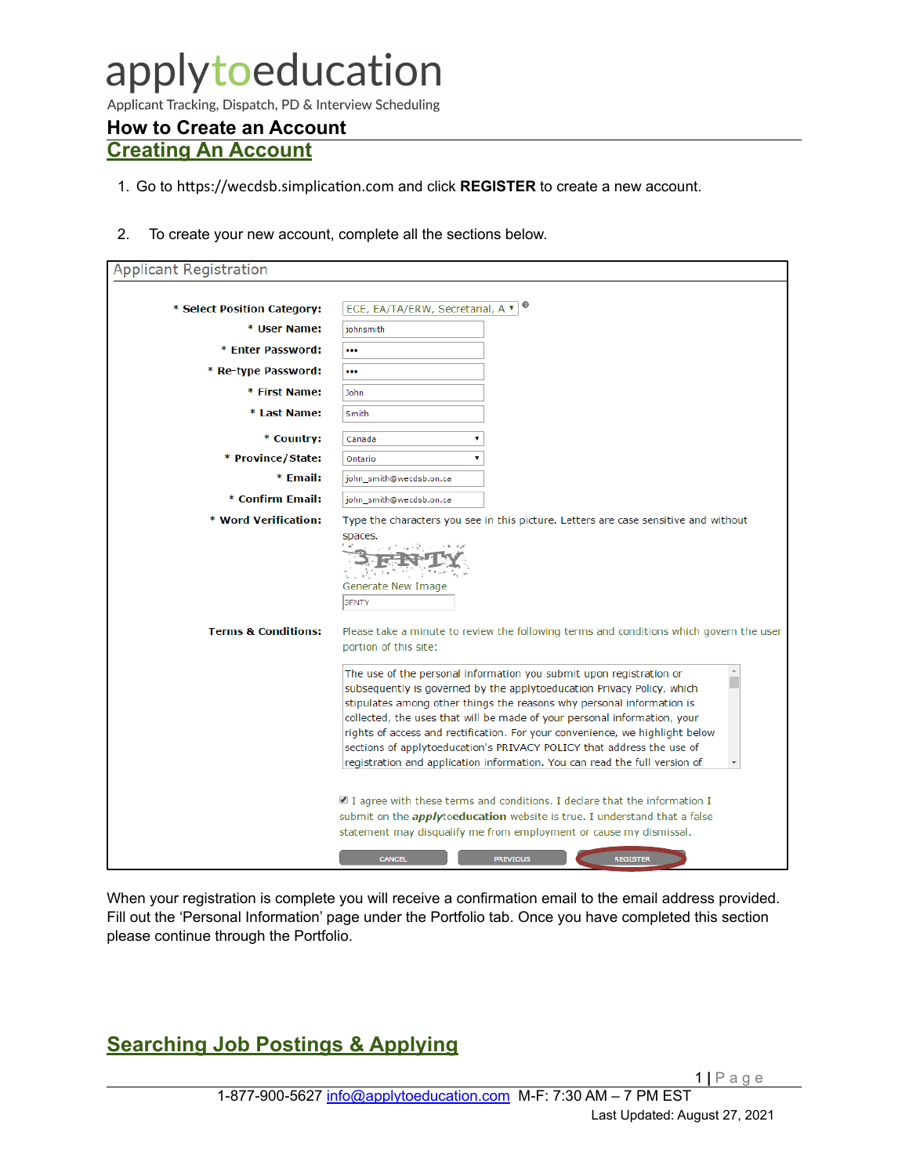# applytoeducation

Applicant Tracking, Dispatch, PD & Interview Scheduling

### **How to Create an Account Creating An Account**

- 1. Go to https://wecdsb.simplication.com and click **REGISTER** to create a new account.
- 2. To create your new account, complete all the sections below.

| <b>Applicant Registration</b>  |                                                                                                                                                                                                                                                                                                                                                                                                                                                                                                                                           |  |  |  |  |  |
|--------------------------------|-------------------------------------------------------------------------------------------------------------------------------------------------------------------------------------------------------------------------------------------------------------------------------------------------------------------------------------------------------------------------------------------------------------------------------------------------------------------------------------------------------------------------------------------|--|--|--|--|--|
|                                |                                                                                                                                                                                                                                                                                                                                                                                                                                                                                                                                           |  |  |  |  |  |
| * Select Position Category:    | ECE, EA/TA/ERW, Secretarial, A v                                                                                                                                                                                                                                                                                                                                                                                                                                                                                                          |  |  |  |  |  |
| * User Name:                   | johnsmith                                                                                                                                                                                                                                                                                                                                                                                                                                                                                                                                 |  |  |  |  |  |
| * Enter Password:              |                                                                                                                                                                                                                                                                                                                                                                                                                                                                                                                                           |  |  |  |  |  |
| * Re-type Password:            |                                                                                                                                                                                                                                                                                                                                                                                                                                                                                                                                           |  |  |  |  |  |
| * First Name:                  | John                                                                                                                                                                                                                                                                                                                                                                                                                                                                                                                                      |  |  |  |  |  |
| * Last Name:                   | Smith                                                                                                                                                                                                                                                                                                                                                                                                                                                                                                                                     |  |  |  |  |  |
| * Country:                     | Canada<br>۳.                                                                                                                                                                                                                                                                                                                                                                                                                                                                                                                              |  |  |  |  |  |
| * Province/State:              | $\pmb{\mathrm{v}}$<br>Ontario                                                                                                                                                                                                                                                                                                                                                                                                                                                                                                             |  |  |  |  |  |
| * Email:                       | john_smith@wecdsb.on.ca                                                                                                                                                                                                                                                                                                                                                                                                                                                                                                                   |  |  |  |  |  |
| * Confirm Email:               | john_smith@wecdsb.on.ca                                                                                                                                                                                                                                                                                                                                                                                                                                                                                                                   |  |  |  |  |  |
| * Word Verification:           | Type the characters you see in this picture. Letters are case sensitive and without                                                                                                                                                                                                                                                                                                                                                                                                                                                       |  |  |  |  |  |
|                                | spaces.<br>Generate New Image<br>3FNTY                                                                                                                                                                                                                                                                                                                                                                                                                                                                                                    |  |  |  |  |  |
| <b>Terms &amp; Conditions:</b> | Please take a minute to review the following terms and conditions which govern the user<br>portion of this site:                                                                                                                                                                                                                                                                                                                                                                                                                          |  |  |  |  |  |
|                                | The use of the personal information you submit upon registration or<br>subsequently is governed by the applytoeducation Privacy Policy, which<br>stipulates among other things the reasons why personal information is<br>collected, the uses that will be made of your personal information, your<br>rights of access and rectification. For your convenience, we highlight below<br>sections of applytoeducation's PRIVACY POLICY that address the use of<br>registration and application information. You can read the full version of |  |  |  |  |  |
|                                | I agree with these terms and conditions. I declare that the information I<br>submit on the <i>apply</i> toeducation website is true. I understand that a false<br>statement may disqualify me from employment or cause my dismissal.                                                                                                                                                                                                                                                                                                      |  |  |  |  |  |
|                                | <b>CANCEL</b><br><b>PREVIOUS</b><br><b>REGISTER</b>                                                                                                                                                                                                                                                                                                                                                                                                                                                                                       |  |  |  |  |  |

When your registration is complete you will receive a confirmation email to the email address provided. Fill out the 'Personal Information' page under the Portfolio tab. Once you have completed this section please continue through the Portfolio.

# **Searching Job Postings & Applying**

1 **|** Page